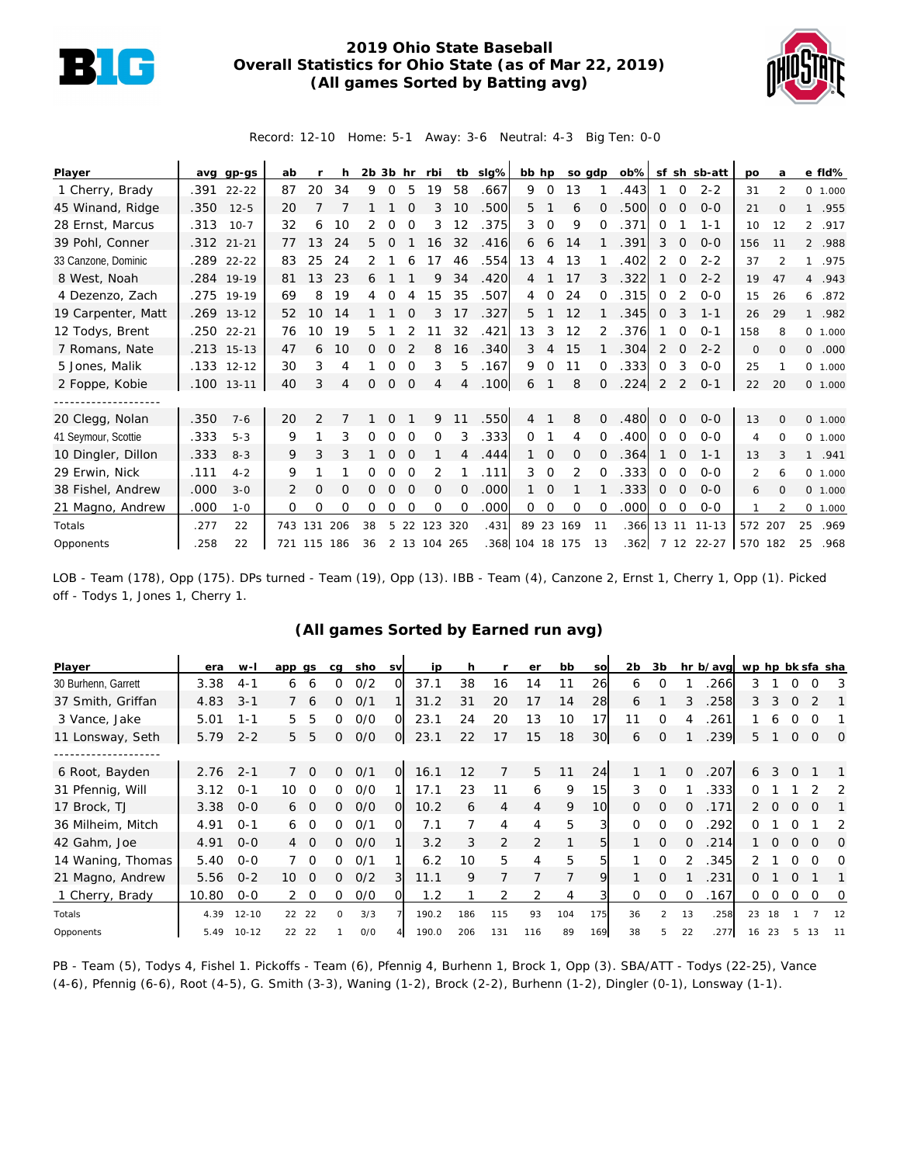

## **2019 Ohio State Baseball Overall Statistics for Ohio State (as of Mar 22, 2019) (All games Sorted by Batting avg)**



Record: 12-10 Home: 5-1 Away: 3-6 Neutral: 4-3 Big Ten: 0-0

| Player              |            | avg gp-gs    | ab  |               | h.  |    |                |                | 2b 3b hr rbi   |          | tb slg% |                 |                | bb hp so gdp |               |      |              |                | ob% sf sh sb-att | po             | a             |         | e fld%    |
|---------------------|------------|--------------|-----|---------------|-----|----|----------------|----------------|----------------|----------|---------|-----------------|----------------|--------------|---------------|------|--------------|----------------|------------------|----------------|---------------|---------|-----------|
| 1 Cherry, Brady     |            | .391 22-22   | 87  | 20            | 34  | 9  | $\Omega$       | 5              | 19             | 58       | .667    | 9               | $\Omega$       | 13           |               | .443 |              | $\Omega$       | $2 - 2$          | 31             | $\mathcal{P}$ |         | 0, 1,000  |
| 45 Winand, Ridge    | .350       | $12 - 5$     | 20  |               |     |    |                |                | 3              | 10       | .500    | 5               |                | 6            | $\Omega$      | .500 | 0            | $\Omega$       | $0 - 0$          | 21             | $\Omega$      |         | 1 .955    |
| 28 Ernst, Marcus    | .313       | $10 - 7$     | 32  | 6             | 10  |    | Ω              | $\Omega$       | 3              | 12       | .375    | 3               | $\Omega$       | 9            | $\Omega$      | .371 | $\Omega$     |                | $1 - 1$          | 10             | 12            |         | 2 .917    |
| 39 Pohl, Conner     | .312 21-21 |              | 77  | 13            | 24  | 5. | $\Omega$       |                | 16             | 32       | .416    | 6               | 6              | 14           |               | .391 | 3            | $\Omega$       | $0 - 0$          | 156            | 11            |         | 2 .988    |
| 33 Canzone, Dominic |            | .289 22-22   | 83  | 25            | 24  | 2  |                |                | 17             | 46       | .554    | 13              | $\overline{4}$ | 13           |               | .402 | 2            | $\Omega$       | $2 - 2$          | 37             | $\mathcal{P}$ |         | 1 .975    |
| 8 West, Noah        |            | .284 19-19   | 81  | 13            | 23  | 6  |                |                | 9              | 34       | .420    | 4               |                | 17           |               | .322 |              | $\Omega$       | $2 - 2$          | 19             | 47            |         | 4 .943    |
| 4 Dezenzo, Zach     |            | .275 19-19   | 69  | 8             | 19  | 4  | $\Omega$       | 4              | 15             | 35       | .507    | $\overline{4}$  | 0              | 24           | $\Omega$      | .315 | 0            | 2              | $0 - 0$          | 15             | 26            | 6       | .872      |
| 19 Carpenter, Matt  |            | .269 13-12   | 52  | 10            | 14  |    |                |                |                | 17       | .327    | 5               |                | 12           |               | .345 | $\Omega$     | 3              | $1 - 1$          | 26             | 29            |         | 1 .982    |
| 12 Todys, Brent     | .250       | $22 - 21$    | 76  | 10            | 19  | 5  |                |                |                | 32       | .421    | 13              | 3              | 12           | $\mathcal{P}$ | .376 |              | 0              | $O - 1$          | 158            | 8             |         | 0 1.000   |
| 7 Romans, Nate      |            | .213 15-13   | 47  | 6             | 10  | 0  | $\Omega$       |                | 8              | 16       | .340    | 3               | 4              | 15           |               | .304 | 2            | $\Omega$       | $2 - 2$          | $\mathbf{O}$   | $\Omega$      | $\circ$ | .000      |
| 5 Jones, Malik      |            | $.133$ 12-12 | 30  | 3             | 4   |    | O              | $\Omega$       | 3              | 5        | .167    | 9               | $\Omega$       | 11           | 0             | .333 | $\Omega$     | 3              | $0-0$            | 25             |               |         | 0 1.000   |
| 2 Foppe, Kobie      |            | $.100$ 13-11 | 40  | 3             | 4   | 0  | $\overline{O}$ | $\overline{O}$ | $\overline{4}$ | 4        | .100    | 6               |                | 8            | $\Omega$      | .224 | 2            | 2              | $O - 1$          | 22             | 20            |         | 0 1.000   |
| ------------------  |            |              |     |               |     |    |                |                |                |          |         |                 |                |              |               |      |              |                |                  |                |               |         |           |
| 20 Clegg, Nolan     | .350       | $7 - 6$      | 20  | $\mathcal{P}$ |     |    |                |                | 9              | 11       | .550    | 4               |                | 8            | 0             | .480 | $\Omega$     | $\Omega$       | $0 - 0$          | 13             | $\Omega$      |         | $0$ 1.000 |
| 41 Seymour, Scottie | .333       | $5 - 3$      | 9   |               | 3   | 0  | $\Omega$       | $\Omega$       | 0              | 3        | .333    | $\Omega$        |                | 4            | $\Omega$      | .400 | $\Omega$     | $\Omega$       | $0 - 0$          | 4              | $\Omega$      |         | 0 1.000   |
| 10 Dingler, Dillon  | .333       | $8 - 3$      | 9   | 3             | 3   |    | 0              | $\Omega$       |                | 4        | .444    |                 | $\Omega$       | 0            | $\Omega$      | .364 |              | $\Omega$       | $1 - 1$          | 13             | 3             |         | 1 .941    |
| 29 Erwin, Nick      | .111       | $4 - 2$      | 9   |               |     |    | $\Omega$       | $\Omega$       | 2              |          | .111    | 3               | $\Omega$       | 2            | $\Omega$      | .333 | $\Omega$     | $\Omega$       | $O-O$            | $\overline{2}$ | 6             |         | 0 1.000   |
| 38 Fishel, Andrew   | .000       | $3 - 0$      | 2   | 0             | O   | 0  | $\Omega$       | $\Omega$       | $\Omega$       | $\Omega$ | .000    | $\mathbf{1}$    | $\mathbf 0$    |              |               | .333 | $\mathbf{0}$ | $\overline{0}$ | $O - O$          | 6              | $\Omega$      |         | $0$ 1.000 |
| 21 Magno, Andrew    | .000       | $1 - 0$      | 0   | 0             | 0   | 0  | Ω              | ∩              | $\Omega$       | $\Omega$ | .000    | 0               | 0              | $\circ$      | $\Omega$      | .000 | 0            | 0              | $0-0$            |                | $\mathcal{P}$ |         | $0$ 1.000 |
| Totals              | .277       | 22           | 743 | 131           | 206 | 38 | 5.             | 22             | 123            | 320      | .431    |                 |                | 89 23 169    | 11            | .366 | 13           | 11             | $11 - 13$        | 572 207        |               | 25      | .969      |
| Opponents           | .258       | 22           |     | 721 115 186   |     | 36 |                |                | 2 13 104 265   |          |         | .368 104 18 175 |                |              | 13            | .362 |              |                | 7 12 22-27       | 570 182        |               | 25      | .968      |

LOB - Team (178), Opp (175). DPs turned - Team (19), Opp (13). IBB - Team (4), Canzone 2, Ernst 1, Cherry 1, Opp (1). Picked off - Todys 1, Jones 1, Cherry 1.

## **(All games Sorted by Earned run avg)**

| Player              | era   | $W-I$     | app gs                     | cq           | sho | <b>SV</b>      | ip    | h   |                | er  | bb  | SO              | 2b       | 3b             |          | hr b/avg wp hp bk sfa sha |    |          |          |          |                |
|---------------------|-------|-----------|----------------------------|--------------|-----|----------------|-------|-----|----------------|-----|-----|-----------------|----------|----------------|----------|---------------------------|----|----------|----------|----------|----------------|
| 30 Burhenn, Garrett | 3.38  | 4-1       | 6<br>6                     | O            | 0/2 | O.             | 37.1  | 38  | 16             | 14  | 11  | 26              | 6        | 0              |          | 266                       | 3. |          | 0        | Ω        | 3              |
| 37 Smith, Griffan   | 4.83  | $3 - 1$   | -6                         | 0            | 0/1 |                | 31.2  | 31  | 20             | 17  | 14  | 28              | 6        |                | 3        | 258                       | 3  | 3        | $\Omega$ | 2        |                |
| 3 Vance, Jake       | 5.01  | 1-1       | 5<br>5                     | 0            | O/O | O.             | 23.1  | 24  | 20             | 13  | 10  | 17              | 11       | $\Omega$       |          | .261                      |    | 6        |          |          |                |
| 11 Lonsway, Seth    | 5.79  | $2 - 2$   | .5<br>5                    | 0            | O/O | $\overline{O}$ | 23.1  | 22  | 17             | 15  | 18  | 30              | 6        | $\mathcal{O}$  |          | 239                       | 5  |          | 0        | $\Omega$ | $\overline{0}$ |
|                     |       |           |                            |              |     |                |       |     |                |     |     |                 |          |                |          |                           |    |          |          |          |                |
| 6 Root, Bayden      | 2.76  | $2 - 1$   | $\Omega$                   | 0            | O/1 | $\overline{O}$ | 16.1  | 12  | 7              | 5   | 11  | 24              |          |                | $\Omega$ | .207                      | 6  | 3        | $\Omega$ |          |                |
| 31 Pfennig, Will    | 3.12  | $O - 1$   | 10<br>∩                    | 0            | O/O |                | 17.1  | 23  |                | 6   | 9   | 15              | 3        | 0              |          | .333                      | 0  |          |          |          |                |
| 17 Brock, TJ        | 3.38  | $O-O$     | 6 0                        | 0            | O/O | $\Omega$       | 10.2  | 6   | 4              | 4   | 9   | 10 <sup>1</sup> | $\Omega$ | $\Omega$       | $\Omega$ | .171                      | 2  | $\Omega$ | $\Omega$ | $\Omega$ |                |
| 36 Milheim, Mitch   | 4.91  | $O - 1$   | $\Omega$<br>6              | ∩            | O/1 | O.             | 7.1   |     | $\overline{4}$ | 4   | 5   | 3               | $\Omega$ | $\Omega$       | $\Omega$ | 292                       | ∩  |          |          |          | 2              |
| 42 Gahm, Joe        | 4.91  | $0 - 0$   | $\Omega$<br>$\overline{4}$ | 0            | O/O |                | 3.2   | 3   | 2              | 2   | 1   | 51              |          | $\Omega$       | $\Omega$ | .214                      |    | $\Omega$ | $\Omega$ | $\Omega$ | $\Omega$       |
| 14 Waning, Thomas   | 5.40  | $O - O$   | - 0                        | <sup>o</sup> | O/1 |                | 6.2   | 10  | 5              | 4   | 5   | 5               |          | $\Omega$       | 2        | 345                       | 2. |          | 0        | ∩        | $\Omega$       |
| 21 Magno, Andrew    | 5.56  | $O - 2$   | 10<br>$\Omega$             | 0            | O/2 | 3              | 11.1  | 9   |                |     | 7   | 9               |          | $\Omega$       |          | 231                       | 0  |          | $\Omega$ |          |                |
| 1 Cherry, Brady     | 10.80 | $0 - 0$   | $2\quad 0$                 | 0            | O/O | O.             | 1.2   |     | 2              |     | 4   | 3               | 0        | 0              | $\Omega$ | .167                      | 0  | $\circ$  | $\circ$  | 0        | 0              |
| Totals              | 4.39  | $12 - 10$ | 22<br>22                   | $\Omega$     | 3/3 |                | 190.2 | 186 | 115            | 93  | 104 | 175             | 36       | $\overline{2}$ | 13       | .258                      | 23 | 18       |          |          | 12             |
| Opponents           | 5.49  | $10 - 12$ | 22<br>22                   |              | O/O |                | 190.0 | 206 | 131            | 116 | 89  | 169             | 38       | 5              | 22       | .277                      | 16 | 23       |          | 13       |                |

PB - Team (5), Todys 4, Fishel 1. Pickoffs - Team (6), Pfennig 4, Burhenn 1, Brock 1, Opp (3). SBA/ATT - Todys (22-25), Vance (4-6), Pfennig (6-6), Root (4-5), G. Smith (3-3), Waning (1-2), Brock (2-2), Burhenn (1-2), Dingler (0-1), Lonsway (1-1).